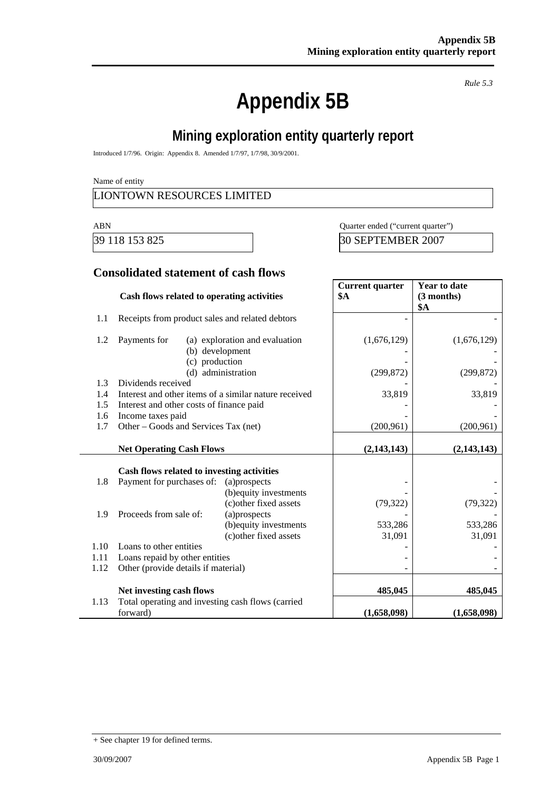# **Appendix 5B**

*Rule 5.3* 

# **Mining exploration entity quarterly report**

Introduced 1/7/96. Origin: Appendix 8. Amended 1/7/97, 1/7/98, 30/9/2001.

Name of entity

## LIONTOWN RESOURCES LIMITED

ABN Quarter ended ("current quarter")

39 118 153 825 30 SEPTEMBER 2007

#### **Consolidated statement of cash flows**

|      | Cash flows related to operating activities            |                                | <b>Current quarter</b><br><b>\$A</b> | <b>Year to date</b><br>(3 months)<br><b>\$A</b> |
|------|-------------------------------------------------------|--------------------------------|--------------------------------------|-------------------------------------------------|
| 1.1  | Receipts from product sales and related debtors       |                                |                                      |                                                 |
| 1.2  | Payments for<br>(b) development<br>(c) production     | (a) exploration and evaluation | (1,676,129)                          | (1,676,129)                                     |
|      |                                                       | (d) administration             | (299, 872)                           | (299, 872)                                      |
| 1.3  | Dividends received                                    |                                |                                      |                                                 |
| 1.4  | Interest and other items of a similar nature received |                                | 33,819                               | 33,819                                          |
| 1.5  | Interest and other costs of finance paid              |                                |                                      |                                                 |
| 1.6  | Income taxes paid                                     |                                |                                      |                                                 |
| 1.7  | Other – Goods and Services Tax (net)                  |                                | (200, 961)                           | (200, 961)                                      |
|      | <b>Net Operating Cash Flows</b>                       |                                | (2,143,143)                          | (2,143,143)                                     |
|      | Cash flows related to investing activities            |                                |                                      |                                                 |
| 1.8  | Payment for purchases of:                             | (a)prospects                   |                                      |                                                 |
|      |                                                       | (b) equity investments         |                                      |                                                 |
|      |                                                       | (c) other fixed assets         | (79, 322)                            | (79, 322)                                       |
| 1.9  | Proceeds from sale of:                                | (a)prospects                   |                                      |                                                 |
|      |                                                       | (b) equity investments         | 533,286                              | 533,286                                         |
|      |                                                       | (c) other fixed assets         | 31,091                               | 31,091                                          |
| 1.10 | Loans to other entities                               |                                |                                      |                                                 |
| 1.11 | Loans repaid by other entities                        |                                |                                      |                                                 |
| 1.12 | Other (provide details if material)                   |                                |                                      |                                                 |
|      | Net investing cash flows                              |                                | 485,045                              | 485,045                                         |
| 1.13 | Total operating and investing cash flows (carried     |                                |                                      |                                                 |
|      | forward)                                              |                                | (1,658,098)                          | (1,658,098)                                     |

<sup>+</sup> See chapter 19 for defined terms.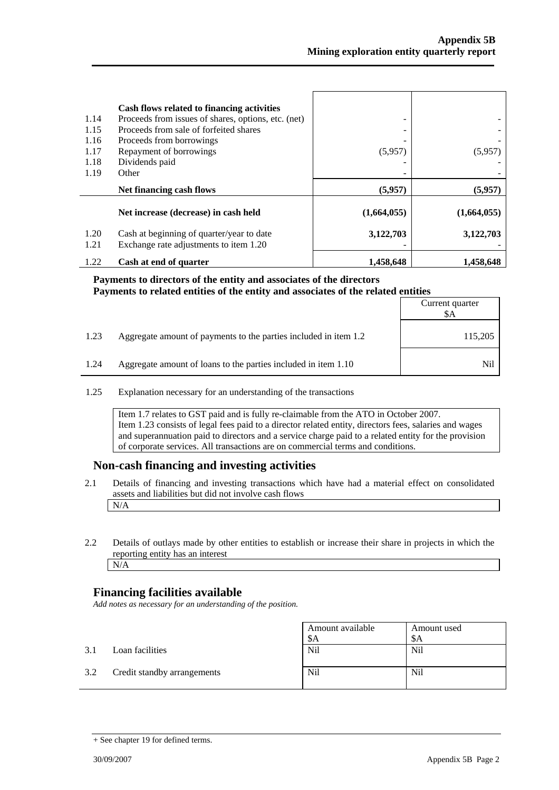| 1.14<br>1.15<br>1.16<br>1.17<br>1.18<br>1.19 | Cash flows related to financing activities<br>Proceeds from issues of shares, options, etc. (net)<br>Proceeds from sale of forfeited shares<br>Proceeds from borrowings<br>Repayment of borrowings<br>Dividends paid<br>Other | (5,957)     | (5.957)     |
|----------------------------------------------|-------------------------------------------------------------------------------------------------------------------------------------------------------------------------------------------------------------------------------|-------------|-------------|
|                                              |                                                                                                                                                                                                                               |             |             |
|                                              | Net financing cash flows                                                                                                                                                                                                      | (5,957)     | (5,957)     |
|                                              | Net increase (decrease) in cash held                                                                                                                                                                                          | (1,664,055) | (1,664,055) |
| 1.20<br>1.21                                 | Cash at beginning of quarter/year to date<br>Exchange rate adjustments to item 1.20                                                                                                                                           | 3,122,703   | 3,122,703   |
| 1.22                                         | Cash at end of quarter                                                                                                                                                                                                        | 1.458.648   | 1.458,648   |

#### **Payments to directors of the entity and associates of the directors Payments to related entities of the entity and associates of the related entities**

|      |                                                                  | Current quarter<br>\$A |
|------|------------------------------------------------------------------|------------------------|
| 1.23 | Aggregate amount of payments to the parties included in item 1.2 | 115,205                |
| 1.24 | Aggregate amount of loans to the parties included in item 1.10   | Nil                    |

1.25 Explanation necessary for an understanding of the transactions

Item 1.7 relates to GST paid and is fully re-claimable from the ATO in October 2007. Item 1.23 consists of legal fees paid to a director related entity, directors fees, salaries and wages and superannuation paid to directors and a service charge paid to a related entity for the provision of corporate services. All transactions are on commercial terms and conditions.

## **Non-cash financing and investing activities**

- 2.1 Details of financing and investing transactions which have had a material effect on consolidated assets and liabilities but did not involve cash flows N/A
- 2.2 Details of outlays made by other entities to establish or increase their share in projects in which the reporting entity has an interest N/A

## **Financing facilities available**

*Add notes as necessary for an understanding of the position.* 

|     |                             | Amount available<br>\$A | Amount used<br>-SA |
|-----|-----------------------------|-------------------------|--------------------|
| 3.1 | Loan facilities             | Nil                     | <b>Nil</b>         |
| 3.2 | Credit standby arrangements | Nil                     | <b>Nil</b>         |

<sup>+</sup> See chapter 19 for defined terms.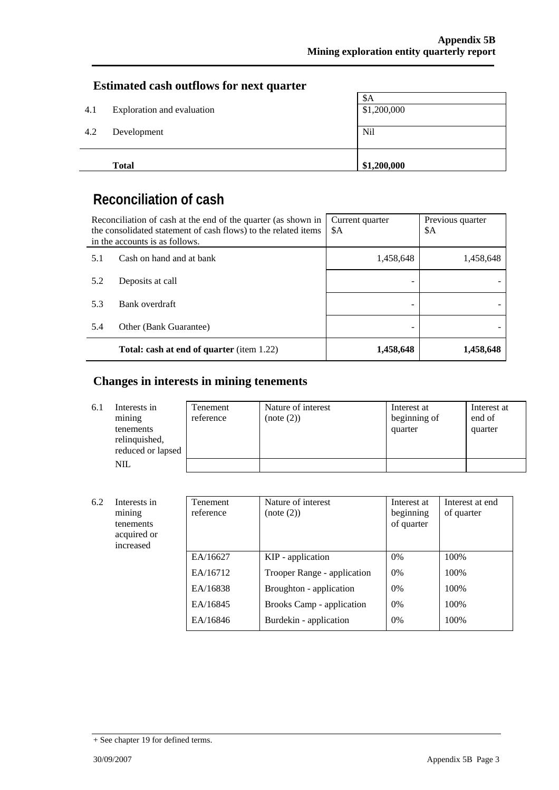## **Estimated cash outflows for next quarter**

|     | <b>Total</b>               | \$1,200,000 |
|-----|----------------------------|-------------|
| 4.2 | Development                | Nil         |
| 4.1 | Exploration and evaluation | \$1,200,000 |
|     |                            | \$A         |

# **Reconciliation of cash**

| Reconciliation of cash at the end of the quarter (as shown in<br>the consolidated statement of cash flows) to the related items<br>in the accounts is as follows. |                                                  | Current quarter<br>\$A | Previous quarter<br>\$A |
|-------------------------------------------------------------------------------------------------------------------------------------------------------------------|--------------------------------------------------|------------------------|-------------------------|
| 5.1                                                                                                                                                               | Cash on hand and at bank                         | 1,458,648              | 1,458,648               |
| 5.2                                                                                                                                                               | Deposits at call                                 |                        |                         |
| 5.3                                                                                                                                                               | Bank overdraft                                   |                        |                         |
| 5.4                                                                                                                                                               | Other (Bank Guarantee)                           |                        |                         |
|                                                                                                                                                                   | <b>Total: cash at end of quarter</b> (item 1.22) | 1,458,648              | 1,458,648               |

# **Changes in interests in mining tenements**

| 6.1 | Interests in<br>mining<br>tenements<br>relinquished,<br>reduced or lapsed | Tenement<br>reference | Nature of interest<br>(note (2)) | Interest at<br>beginning of<br>quarter | Interest at<br>end of<br>quarter |
|-----|---------------------------------------------------------------------------|-----------------------|----------------------------------|----------------------------------------|----------------------------------|
|     | <b>NIL</b>                                                                |                       |                                  |                                        |                                  |

| 6.2 | Interests in<br>mining<br>tenements<br>acquired or<br>increased | <b>Tenement</b><br>reference | Nature of interest<br>(note (2)) | Interest at<br>beginning<br>of quarter | Interest at end<br>of quarter |
|-----|-----------------------------------------------------------------|------------------------------|----------------------------------|----------------------------------------|-------------------------------|
|     |                                                                 | EA/16627                     | KIP - application                | $0\%$                                  | 100%                          |
|     |                                                                 | EA/16712                     | Trooper Range - application      | 0%                                     | 100%                          |
|     |                                                                 | EA/16838                     | Broughton - application          | $0\%$                                  | 100\%                         |
|     |                                                                 | EA/16845                     | Brooks Camp - application        | 0%                                     | 100%                          |
|     |                                                                 | EA/16846                     | Burdekin - application           | 0%                                     | 100%                          |

<sup>+</sup> See chapter 19 for defined terms.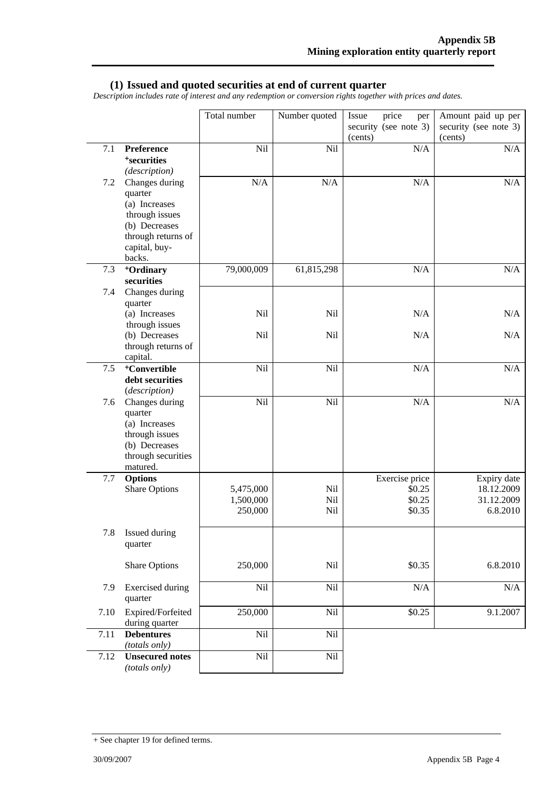#### **(1) Issued and quoted securities at end of current quarter**

*Description includes rate of interest and any redemption or conversion rights together with prices and dates.* 

|         |                                         | Total number           | Number quoted | price<br>Issue<br>per<br>security (see note 3) | Amount paid up per<br>security (see note 3) |
|---------|-----------------------------------------|------------------------|---------------|------------------------------------------------|---------------------------------------------|
|         |                                         |                        |               | (cents)                                        | (cents)                                     |
| 7.1     | Preference                              | Nil                    | Nil           | N/A                                            | N/A                                         |
|         | <sup>+</sup> securities                 |                        |               |                                                |                                             |
| 7.2     | (description)<br>Changes during         | N/A                    | N/A           | N/A                                            | N/A                                         |
|         | quarter                                 |                        |               |                                                |                                             |
|         | (a) Increases                           |                        |               |                                                |                                             |
|         | through issues                          |                        |               |                                                |                                             |
|         | (b) Decreases                           |                        |               |                                                |                                             |
|         | through returns of<br>capital, buy-     |                        |               |                                                |                                             |
|         | backs.                                  |                        |               |                                                |                                             |
| 7.3     | +Ordinary                               | 79,000,009             | 61,815,298    | N/A                                            | N/A                                         |
|         | securities                              |                        |               |                                                |                                             |
| 7.4     | Changes during                          |                        |               |                                                |                                             |
|         | quarter<br>(a) Increases                | Nil                    | Nil           | N/A                                            | N/A                                         |
|         | through issues                          |                        |               |                                                |                                             |
|         | (b) Decreases                           | Nil                    | Nil           | N/A                                            | N/A                                         |
|         | through returns of                      |                        |               |                                                |                                             |
| $7.5\,$ | capital.<br><sup>+</sup> Convertible    | Nil                    |               |                                                |                                             |
|         | debt securities                         |                        | Nil           | N/A                                            | $\rm N/A$                                   |
|         | (description)                           |                        |               |                                                |                                             |
| 7.6     | Changes during                          | Nil                    | Nil           | N/A                                            | N/A                                         |
|         | quarter                                 |                        |               |                                                |                                             |
|         | (a) Increases                           |                        |               |                                                |                                             |
|         | through issues<br>(b) Decreases         |                        |               |                                                |                                             |
|         | through securities                      |                        |               |                                                |                                             |
|         | matured.                                |                        |               |                                                |                                             |
| 7.7     | <b>Options</b>                          |                        |               | Exercise price                                 | Expiry date                                 |
|         | <b>Share Options</b>                    | 5,475,000<br>1,500,000 | Nil<br>Nil    | \$0.25<br>\$0.25                               | 18.12.2009<br>31.12.2009                    |
|         |                                         | 250,000                | Nil           | \$0.35                                         | 6.8.2010                                    |
|         |                                         |                        |               |                                                |                                             |
| 7.8     | Issued during                           |                        |               |                                                |                                             |
|         | quarter                                 |                        |               |                                                |                                             |
|         | <b>Share Options</b>                    | 250,000                | Nil           | \$0.35                                         | 6.8.2010                                    |
|         |                                         |                        |               |                                                |                                             |
| 7.9     | <b>Exercised</b> during<br>quarter      | Nil                    | Nil           | N/A                                            | N/A                                         |
| 7.10    | Expired/Forfeited<br>during quarter     | 250,000                | Nil           | \$0.25                                         | 9.1.2007                                    |
| 7.11    | <b>Debentures</b><br>(totals only)      | Nil                    | Nil           |                                                |                                             |
| 7.12    | <b>Unsecured notes</b><br>(totals only) | Nil                    | Nil           |                                                |                                             |

<sup>+</sup> See chapter 19 for defined terms.